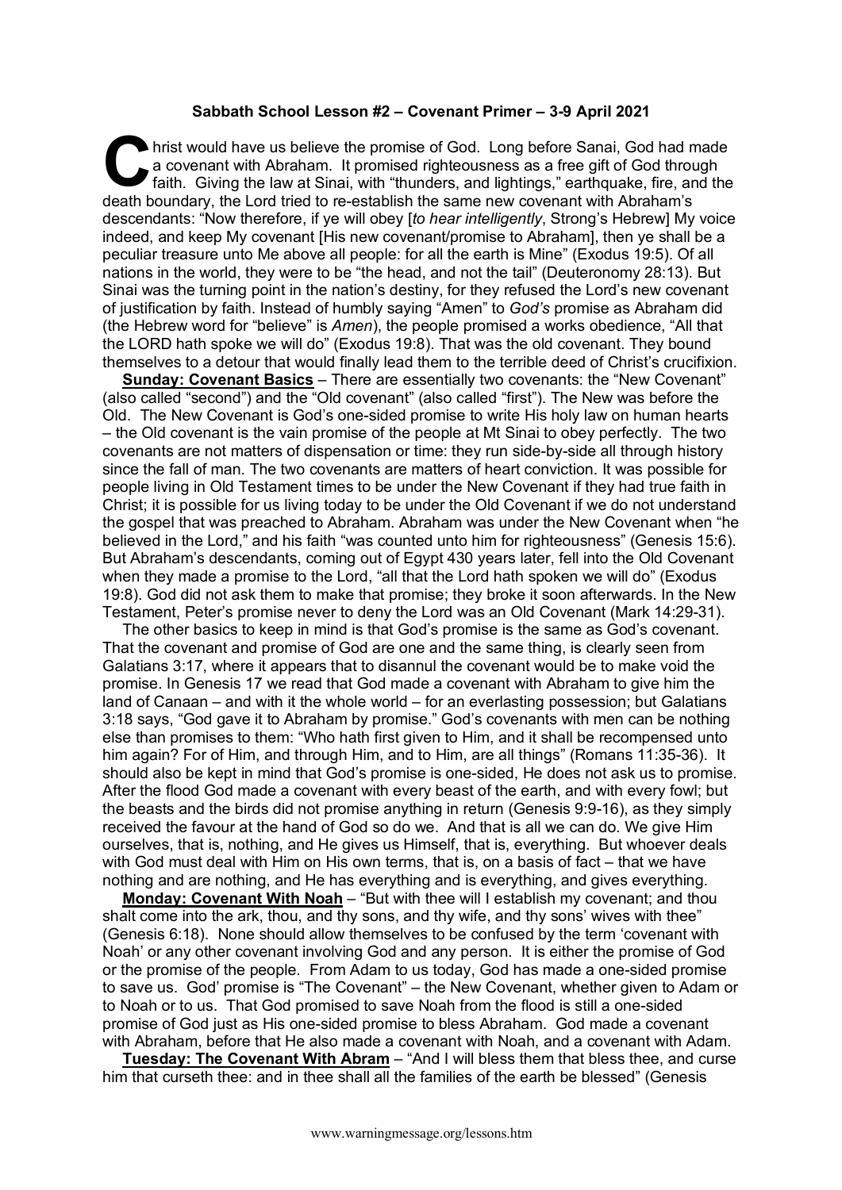## **Sabbath School Lesson #2 – Covenant Primer – 3-9 April 2021**

hrist would have us believe the promise of God. Long before Sanai, God had made a covenant with Abraham. It promised righteousness as a free gift of God through faith. Giving the law at Sinai, with "thunders, and lightings," earthquake, fire, and the death boundary, the Lord tried to re-establish the same new covenant with Abraham's descendants: "Now therefore, if ye will obey [*to hear intelligently*, Strong's Hebrew] My voice indeed, and keep My covenant [His new covenant/promise to Abraham], then ye shall be a peculiar treasure unto Me above all people: for all the earth is Mine" (Exodus 19:5). Of all nations in the world, they were to be "the head, and not the tail" (Deuteronomy 28:13). But Sinai was the turning point in the nation's destiny, for they refused the Lord's new covenant of justification by faith. Instead of humbly saying "Amen" to *God's* promise as Abraham did (the Hebrew word for "believe" is *Amen*), the people promised a works obedience, "All that the LORD hath spoke we will do" (Exodus 19:8). That was the old covenant. They bound themselves to a detour that would finally lead them to the terrible deed of Christ's crucifixion. C hris

**Sunday: Covenant Basics** – There are essentially two covenants: the "New Covenant" (also called "second") and the "Old covenant" (also called "first"). The New was before the Old. The New Covenant is God's one-sided promise to write His holy law on human hearts – the Old covenant is the vain promise of the people at Mt Sinai to obey perfectly. The two covenants are not matters of dispensation or time: they run side-by-side all through history since the fall of man. The two covenants are matters of heart conviction. It was possible for people living in Old Testament times to be under the New Covenant if they had true faith in Christ; it is possible for us living today to be under the Old Covenant if we do not understand the gospel that was preached to Abraham. Abraham was under the New Covenant when "he believed in the Lord," and his faith "was counted unto him for righteousness" (Genesis 15:6). But Abraham's descendants, coming out of Egypt 430 years later, fell into the Old Covenant when they made a promise to the Lord, "all that the Lord hath spoken we will do" (Exodus 19:8). God did not ask them to make that promise; they broke it soon afterwards. In the New Testament, Peter's promise never to deny the Lord was an Old Covenant (Mark 14:29-31).

The other basics to keep in mind is that God's promise is the same as God's covenant. That the covenant and promise of God are one and the same thing, is clearly seen from Galatians 3:17, where it appears that to disannul the covenant would be to make void the promise. In Genesis 17 we read that God made a covenant with Abraham to give him the land of Canaan – and with it the whole world – for an everlasting possession; but Galatians 3:18 says, "God gave it to Abraham by promise." God's covenants with men can be nothing else than promises to them: "Who hath first given to Him, and it shall be recompensed unto him again? For of Him, and through Him, and to Him, are all things" (Romans 11:35-36). It should also be kept in mind that God's promise is one-sided, He does not ask us to promise. After the flood God made a covenant with every beast of the earth, and with every fowl; but the beasts and the birds did not promise anything in return (Genesis 9:9-16), as they simply received the favour at the hand of God so do we. And that is all we can do. We give Him ourselves, that is, nothing, and He gives us Himself, that is, everything. But whoever deals with God must deal with Him on His own terms, that is, on a basis of fact – that we have nothing and are nothing, and He has everything and is everything, and gives everything.

**Monday: Covenant With Noah** – "But with thee will I establish my covenant; and thou shalt come into the ark, thou, and thy sons, and thy wife, and thy sons' wives with thee" (Genesis 6:18). None should allow themselves to be confused by the term 'covenant with Noah' or any other covenant involving God and any person. It is either the promise of God or the promise of the people. From Adam to us today, God has made a one-sided promise to save us. God' promise is "The Covenant" – the New Covenant, whether given to Adam or to Noah or to us. That God promised to save Noah from the flood is still a one-sided promise of God just as His one-sided promise to bless Abraham. God made a covenant with Abraham, before that He also made a covenant with Noah, and a covenant with Adam.

**Tuesday: The Covenant With Abram** – "And I will bless them that bless thee, and curse him that curseth thee: and in thee shall all the families of the earth be blessed" (Genesis